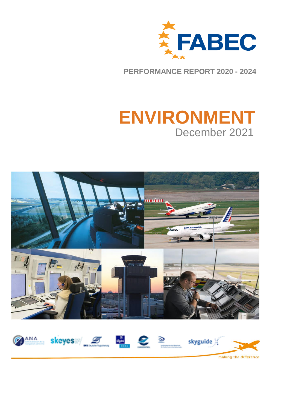

**PERFORMANCE REPORT 2020 - 2024**

# **ENVIRONMENT** December 2021





making the difference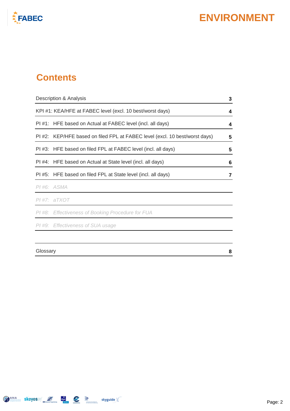

### **Contents**

| Description & Analysis |                                                                             | 3 |
|------------------------|-----------------------------------------------------------------------------|---|
|                        | KPI#1: KEA/HFE at FABEC level (excl. 10 best/worst days)                    | 4 |
|                        | PI#1: HFE based on Actual at FABEC level (incl. all days)                   | 4 |
|                        | PI #2: KEP/HFE based on filed FPL at FABEC level (excl. 10 best/worst days) | 5 |
|                        | PI#3: HFE based on filed FPL at FABEC level (incl. all days)                | 5 |
|                        | PI#4: HFE based on Actual at State level (incl. all days)                   | 6 |
|                        | PI#5: HFE based on filed FPL at State level (incl. all days)                | 7 |
|                        | PI#6: ASMA                                                                  |   |
|                        | $PI$ #7: $aTXOT$                                                            |   |
|                        | PI#8: Effectiveness of Booking Procedure for FUA                            |   |
|                        | PI#9: Effectiveness of SUA usage                                            |   |
|                        |                                                                             |   |
|                        | Glossary                                                                    |   |

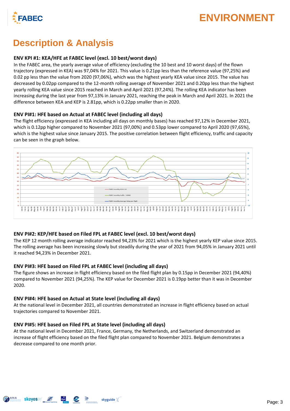

### **Description & Analysis**

### **ENV KPI #1: KEA/HFE at FABEC level (excl. 10 best/worst days)**

In the FABEC area, the yearly average value of efficiency (excluding the 10 best and 10 worst days) of the flown trajectory (expressed in KEA) was 97,04% for 2021. This value is 0.21pp less than the reference value (97,25%) and 0.02 pp less than the value from 2020 (97,06%), which was the highest yearly KEA value since 2015. The value has decreased by 0.02pp compared to the 12-month rolling average of November 2021 and 0.20pp less than the highest yearly rolling KEA value since 2015 reached in March and April 2021 (97,24%). The rolling KEA indicator has been increasing during the last year from 97,13% in January 2021, reaching the peak in March and April 2021. In 2021 the difference between KEA and KEP is 2.81pp, which is 0.22pp smaller than in 2020.

#### **ENV PI#1: HFE based on Actual at FABEC level (including all days)**

The flight efficiency (expressed in KEA including all days on monthly bases) has reached 97,12% in December 2021, which is 0.12pp higher compared to November 2021 (97,00%) and 0.53pp lower compared to April 2020 (97,65%), which is the highest value since January 2015. The positive correlation between flight efficiency, traffic and capacity can be seen in the graph below.



#### **ENV PI#2: KEP/HFE based on Filed FPL at FABEC level (excl. 10 best/worst days)**

The KEP 12 month rolling average indicator reached 94,23% for 2021 which is the highest yearly KEP value since 2015. The rolling average has been increasing slowly but steadily during the year of 2021 from 94,05% in January 2021 until it reached 94,23% in December 2021.

#### **ENV PI#3: HFE based on Filed FPL at FABEC level (including all days)**

The figure shows an increase in flight efficiency based on the filed flight plan by 0.15pp in December 2021 (94,40%) compared to November 2021 (94,25%). The KEP value for December 2021 is 0.19pp better than it was in December 2020.

#### **ENV PI#4: HFE based on Actual at State level (including all days)**

At the national level in December 2021, all countries demonstrated an increase in flight efficiency based on actual trajectories compared to November 2021.

#### **ENV PI#5: HFE based on Filed FPL at State level (including all days)**

At the national level in December 2021, France, Germany, the Netherlands, and Switzerland demonstrated an increase of flight efficiency based on the filed flight plan compared to November 2021. Belgium demonstrates a decrease compared to one month prior.

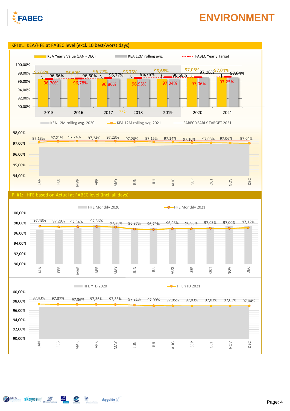

AMA skeyes 5 and 2 Styguide

### **ENVIRONMENT**

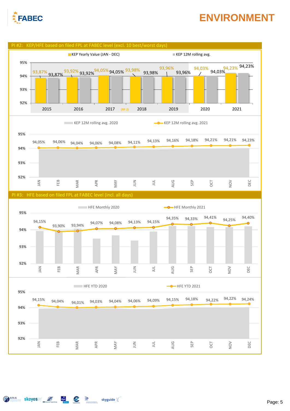

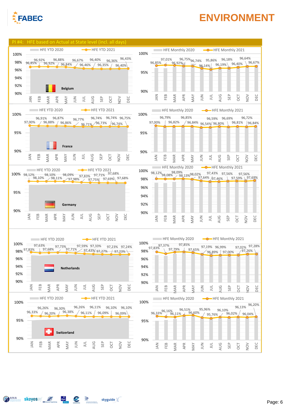

Similar Skeyes 5 6 2 Skyguide

# **ENVIRONMENT**

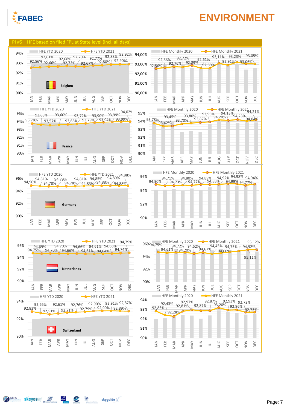



S Skeyes 5 4 2 Skyguide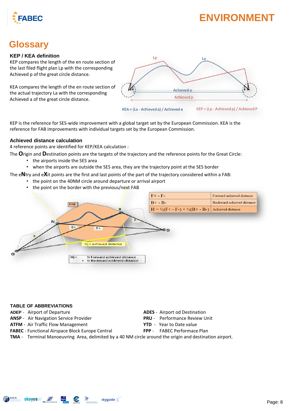

### **Glossary**

#### **KEP / KEA definition**

KEP compares the length of the en route section of the last filed flight plan Lp with the corresponding Achieved p of the great circle distance.

KEA compares the length of the en route section of the actual trajectory La with the corresponding Achieved a of the great circle distance.



KEP is the reference for SES-wide improvement with a global target set by the European Commission. KEA is the reference for FAB improvements with individual targets set by the European Commission.

#### **Achieved distance calculation**

4 reference points are identified for KEP/KEA calculation :

The **O**rigin and **D**estination points are the targets of the trajectory and the reference points for the Great Circle:

- the airports inside the SES area
- when the airports are outside the SES area, they are the trajectory point at the SES border

The e**N**try and e**X**it points are the first and last points of the part of the trajectory considered within a FAB:

- the point on the 40NM circle around departure or arrival airport
- the point on the border with the previous/next FAB



#### **TABLE OF ABBREVIATIONS**

- 
- **ANSP**  Air Navigation Service Provider **PRU**  Performance Review Unit
- **ATFM**  Air Traffic Flow Management **YTD**  Year to Date value
- **FABEC**  Functional Airspace Block Europe Central **FPP**  FABEC Performace Plan
- **ADEP** Airport of Departure **ADES ADES** Airport od Destination
	-
	- -
- **TMA**  Terminal Manoeuvring Area, delimited by a 40 NM circle around the origin and destination airport.

skyguide  $\mathbb{K}$